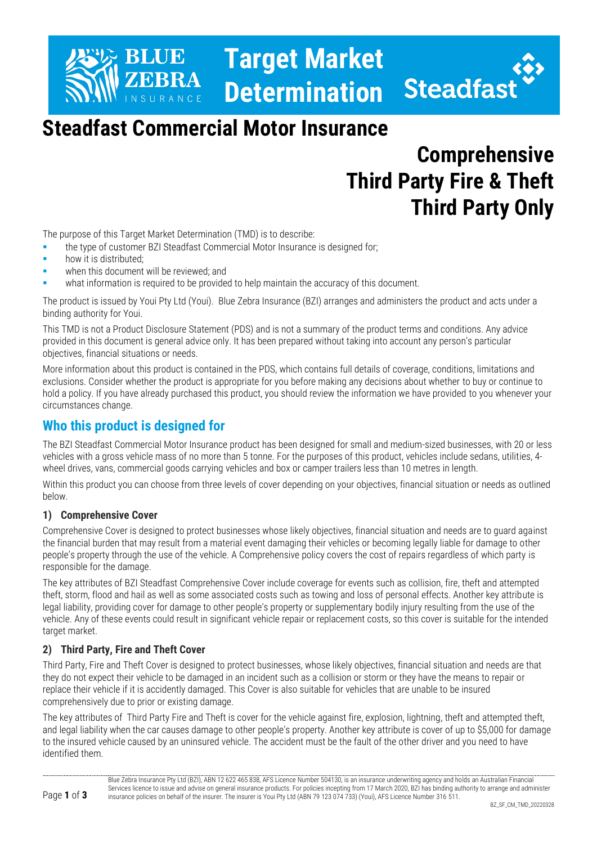## **BLUE Target Market Determination**

## **Steadfast Commercial Motor Insurance**

# **Comprehensive Third Party Fire & Theft Third Party Only**

The purpose of this Target Market Determination (TMD) is to describe:

- **the type of customer BZI Steadfast Commercial Motor Insurance is designed for;**
- how it is distributed:
- when this document will be reviewed; and
- what information is required to be provided to help maintain the accuracy of this document.

The product is issued by Youi Pty Ltd (Youi). Blue Zebra Insurance (BZI) arranges and administers the product and acts under a binding authority for Youi.

This TMD is not a Product Disclosure Statement (PDS) and is not a summary of the product terms and conditions. Any advice provided in this document is general advice only. It has been prepared without taking into account any person's particular objectives, financial situations or needs.

More information about this product is contained in the PDS, which contains full details of coverage, conditions, limitations and exclusions. Consider whether the product is appropriate for you before making any decisions about whether to buy or continue to hold a policy. If you have already purchased this product, you should review the information we have provided to you whenever your circumstances change.

## **Who this product is designed for**

The BZI Steadfast Commercial Motor Insurance product has been designed for small and medium-sized businesses, with 20 or less vehicles with a gross vehicle mass of no more than 5 tonne. For the purposes of this product, vehicles include sedans, utilities, 4 wheel drives, vans, commercial goods carrying vehicles and box or camper trailers less than 10 metres in length.

Within this product you can choose from three levels of cover depending on your objectives, financial situation or needs as outlined below.

#### **1) Comprehensive Cover**

Comprehensive Cover is designed to protect businesses whose likely objectives, financial situation and needs are to guard against the financial burden that may result from a material event damaging their vehicles or becoming legally liable for damage to other people's property through the use of the vehicle. A Comprehensive policy covers the cost of repairs regardless of which party is responsible for the damage.

The key attributes of BZI Steadfast Comprehensive Cover include coverage for events such as collision, fire, theft and attempted theft, storm, flood and hail as well as some associated costs such as towing and loss of personal effects. Another key attribute is legal liability, providing cover for damage to other people's property or supplementary bodily injury resulting from the use of the vehicle. Any of these events could result in significant vehicle repair or replacement costs, so this cover is suitable for the intended target market.

#### **2) Third Party, Fire and Theft Cover**

Third Party, Fire and Theft Cover is designed to protect businesses, whose likely objectives, financial situation and needs are that they do not expect their vehicle to be damaged in an incident such as a collision or storm or they have the means to repair or replace their vehicle if it is accidently damaged. This Cover is also suitable for vehicles that are unable to be insured comprehensively due to prior or existing damage.

The key attributes of Third Party Fire and Theft is cover for the vehicle against fire, explosion, lightning, theft and attempted theft, and legal liability when the car causes damage to other people's property. Another key attribute is cover of up to \$5,000 for damage to the insured vehicle caused by an uninsured vehicle. The accident must be the fault of the other driver and you need to have identified them.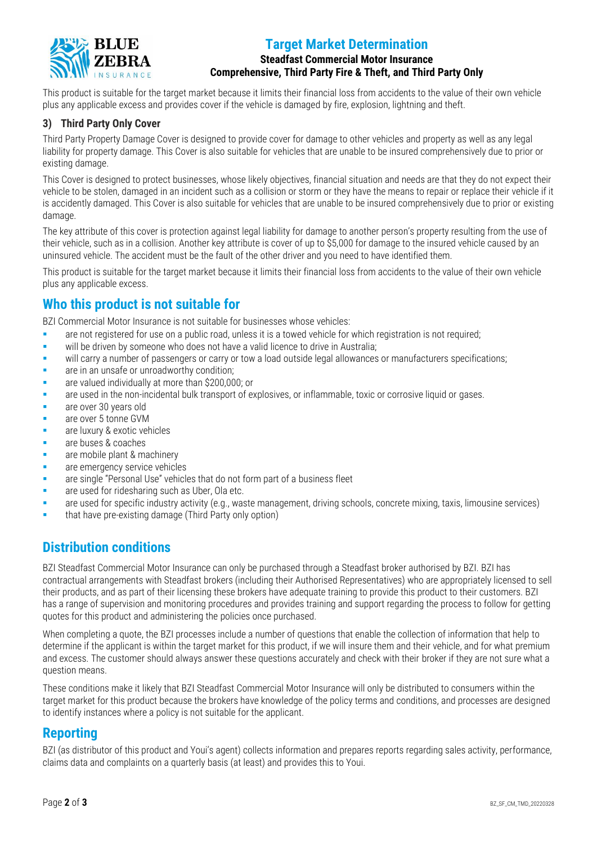

### **Target Market Determination**

#### **Steadfast Commercial Motor Insurance Comprehensive, Third Party Fire & Theft, and Third Party Only**

This product is suitable for the target market because it limits their financial loss from accidents to the value of their own vehicle plus any applicable excess and provides cover if the vehicle is damaged by fire, explosion, lightning and theft.

#### **3) Third Party Only Cover**

Third Party Property Damage Cover is designed to provide cover for damage to other vehicles and property as well as any legal liability for property damage. This Cover is also suitable for vehicles that are unable to be insured comprehensively due to prior or existing damage.

This Cover is designed to protect businesses, whose likely objectives, financial situation and needs are that they do not expect their vehicle to be stolen, damaged in an incident such as a collision or storm or they have the means to repair or replace their vehicle if it is accidently damaged. This Cover is also suitable for vehicles that are unable to be insured comprehensively due to prior or existing damage

The key attribute of this cover is protection against legal liability for damage to another person's property resulting from the use of their vehicle, such as in a collision. Another key attribute is cover of up to \$5,000 for damage to the insured vehicle caused by an uninsured vehicle. The accident must be the fault of the other driver and you need to have identified them.

This product is suitable for the target market because it limits their financial loss from accidents to the value of their own vehicle plus any applicable excess.

## **Who this product is not suitable for**

BZI Commercial Motor Insurance is not suitable for businesses whose vehicles:

- **•** are not registered for use on a public road, unless it is a towed vehicle for which registration is not required;
- will be driven by someone who does not have a valid licence to drive in Australia;
- will carry a number of passengers or carry or tow a load outside legal allowances or manufacturers specifications;
- **Example 2** are in an unsafe or unroadworthy condition;
- are valued individually at more than \$200,000; or
- **•** are used in the non-incidental bulk transport of explosives, or inflammable, toxic or corrosive liquid or gases.
- **a** are over 30 years old
- are over 5 tonne GVM
- are luxury & exotic vehicles
- are buses & coaches
- **•** are mobile plant & machinery
- **EXECUTE:** are emergency service vehicles
- are single "Personal Use" vehicles that do not form part of a business fleet
- are used for ridesharing such as Uber, Ola etc.
- are used for specific industry activity (e.g., waste management, driving schools, concrete mixing, taxis, limousine services)
- that have pre-existing damage (Third Party only option)

## **Distribution conditions**

BZI Steadfast Commercial Motor Insurance can only be purchased through a Steadfast broker authorised by BZI. BZI has contractual arrangements with Steadfast brokers (including their Authorised Representatives) who are appropriately licensed to sell their products, and as part of their licensing these brokers have adequate training to provide this product to their customers. BZI has a range of supervision and monitoring procedures and provides training and support regarding the process to follow for getting quotes for this product and administering the policies once purchased.

When completing a quote, the BZI processes include a number of questions that enable the collection of information that help to determine if the applicant is within the target market for this product, if we will insure them and their vehicle, and for what premium and excess. The customer should always answer these questions accurately and check with their broker if they are not sure what a question means.

These conditions make it likely that BZI Steadfast Commercial Motor Insurance will only be distributed to consumers within the target market for this product because the brokers have knowledge of the policy terms and conditions, and processes are designed to identify instances where a policy is not suitable for the applicant.

#### **Reporting**

BZI (as distributor of this product and Youi's agent) collects information and prepares reports regarding sales activity, performance, claims data and complaints on a quarterly basis (at least) and provides this to Youi.